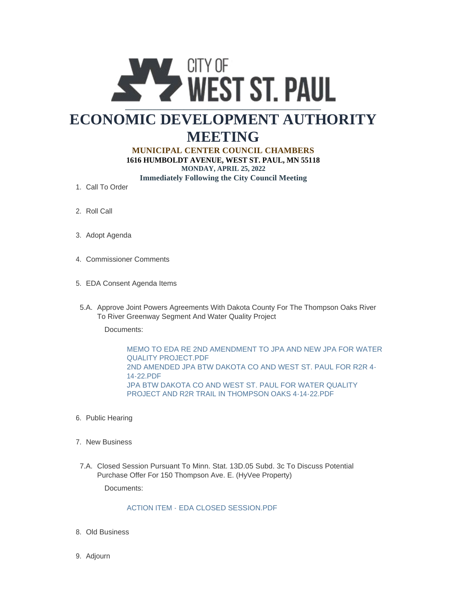

## **ECONOMIC DEVELOPMENT AUTHORITY MEETING**

## **MUNICIPAL CENTER COUNCIL CHAMBERS**

**1616 HUMBOLDT AVENUE, WEST ST. PAUL, MN 55118 MONDAY, APRIL 25, 2022 Immediately Following the City Council Meeting**

- 1. Call To Order
- 2. Roll Call
- 3. Adopt Agenda
- 4. Commissioner Comments
- EDA Consent Agenda Items 5.
- 5.A. Approve Joint Powers Agreements With Dakota County For The Thompson Oaks River To River Greenway Segment And Water Quality Project

Documents:

[MEMO TO EDA RE 2ND AMENDMENT TO JPA AND NEW JPA FOR WATER](https://www.wspmn.gov/AgendaCenter/ViewFile/Item/12885?fileID=19853)  QUALITY PROJECT.PDF [2ND AMENDED JPA BTW DAKOTA CO AND WEST ST. PAUL FOR R2R 4-](https://www.wspmn.gov/AgendaCenter/ViewFile/Item/12885?fileID=19854) 14-22.PDF [JPA BTW DAKOTA CO AND WEST ST. PAUL FOR WATER QUALITY](https://www.wspmn.gov/AgendaCenter/ViewFile/Item/12885?fileID=19855)  PROJECT AND R2R TRAIL IN THOMPSON OAKS 4-14-22.PDF

- 6. Public Hearing
- 7. New Business
- 7.A. Closed Session Pursuant To Minn. Stat. 13D.05 Subd. 3c To Discuss Potential Purchase Offer For 150 Thompson Ave. E. (HyVee Property)

Documents:

## ACTION ITEM - EDA CLOSED SESSION PDE

- Old Business 8.
- 9. Adjourn